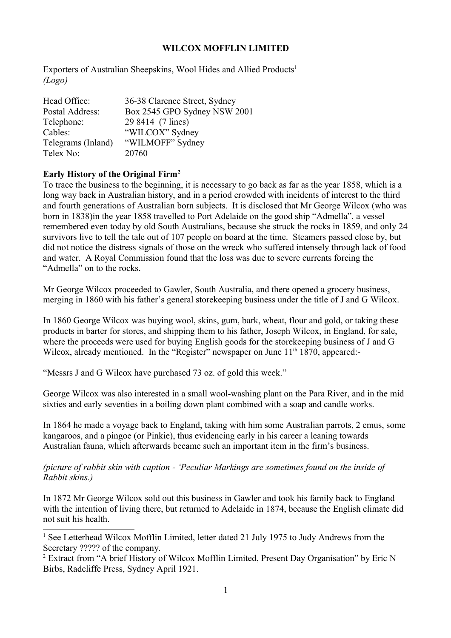Exporters of Australian Sheepskins, Wool Hides and Allied Products<sup>[1](#page-0-0)</sup> *(Logo)*

| Head Office:       | 36-38 Clarence Street, Sydney |
|--------------------|-------------------------------|
| Postal Address:    | Box 2545 GPO Sydney NSW 2001  |
| Telephone:         | 29 8414 (7 lines)             |
| Cables:            | "WILCOX" Sydney               |
| Telegrams (Inland) | "WILMOFF" Sydney              |
| Telex No:          | 20760                         |

# **Early History of the Original Firm[2](#page-0-1)**

To trace the business to the beginning, it is necessary to go back as far as the year 1858, which is a long way back in Australian history, and in a period crowded with incidents of interest to the third and fourth generations of Australian born subjects. It is disclosed that Mr George Wilcox (who was born in 1838)in the year 1858 travelled to Port Adelaide on the good ship "Admella", a vessel remembered even today by old South Australians, because she struck the rocks in 1859, and only 24 survivors live to tell the tale out of 107 people on board at the time. Steamers passed close by, but did not notice the distress signals of those on the wreck who suffered intensely through lack of food and water. A Royal Commission found that the loss was due to severe currents forcing the "Admella" on to the rocks.

Mr George Wilcox proceeded to Gawler, South Australia, and there opened a grocery business, merging in 1860 with his father's general storekeeping business under the title of J and G Wilcox.

In 1860 George Wilcox was buying wool, skins, gum, bark, wheat, flour and gold, or taking these products in barter for stores, and shipping them to his father, Joseph Wilcox, in England, for sale, where the proceeds were used for buying English goods for the storekeeping business of J and G Wilcox, already mentioned. In the "Register" newspaper on June  $11<sup>th</sup> 1870$ , appeared:-

"Messrs J and G Wilcox have purchased 73 oz. of gold this week."

George Wilcox was also interested in a small wool-washing plant on the Para River, and in the mid sixties and early seventies in a boiling down plant combined with a soap and candle works.

In 1864 he made a voyage back to England, taking with him some Australian parrots, 2 emus, some kangaroos, and a pingoe (or Pinkie), thus evidencing early in his career a leaning towards Australian fauna, which afterwards became such an important item in the firm's business.

*(picture of rabbit skin with caption - 'Peculiar Markings are sometimes found on the inside of Rabbit skins.)*

In 1872 Mr George Wilcox sold out this business in Gawler and took his family back to England with the intention of living there, but returned to Adelaide in 1874, because the English climate did not suit his health.

<span id="page-0-0"></span><sup>&</sup>lt;sup>1</sup> See Letterhead Wilcox Mofflin Limited, letter dated 21 July 1975 to Judy Andrews from the Secretary ????? of the company.

<span id="page-0-1"></span><sup>&</sup>lt;sup>2</sup> Extract from "A brief History of Wilcox Mofflin Limited, Present Day Organisation" by Eric N Birbs, Radcliffe Press, Sydney April 1921.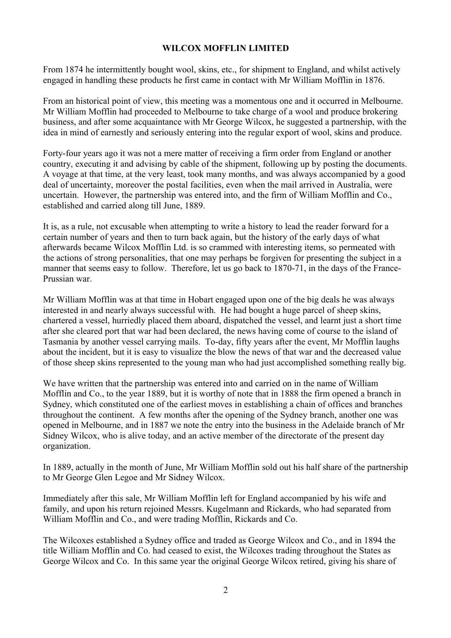From 1874 he intermittently bought wool, skins, etc., for shipment to England, and whilst actively engaged in handling these products he first came in contact with Mr William Mofflin in 1876.

From an historical point of view, this meeting was a momentous one and it occurred in Melbourne. Mr William Mofflin had proceeded to Melbourne to take charge of a wool and produce brokering business, and after some acquaintance with Mr George Wilcox, he suggested a partnership, with the idea in mind of earnestly and seriously entering into the regular export of wool, skins and produce.

Forty-four years ago it was not a mere matter of receiving a firm order from England or another country, executing it and advising by cable of the shipment, following up by posting the documents. A voyage at that time, at the very least, took many months, and was always accompanied by a good deal of uncertainty, moreover the postal facilities, even when the mail arrived in Australia, were uncertain. However, the partnership was entered into, and the firm of William Mofflin and Co., established and carried along till June, 1889.

It is, as a rule, not excusable when attempting to write a history to lead the reader forward for a certain number of years and then to turn back again, but the history of the early days of what afterwards became Wilcox Mofflin Ltd. is so crammed with interesting items, so permeated with the actions of strong personalities, that one may perhaps be forgiven for presenting the subject in a manner that seems easy to follow. Therefore, let us go back to 1870-71, in the days of the France-Prussian war.

Mr William Mofflin was at that time in Hobart engaged upon one of the big deals he was always interested in and nearly always successful with. He had bought a huge parcel of sheep skins, chartered a vessel, hurriedly placed them aboard, dispatched the vessel, and learnt just a short time after she cleared port that war had been declared, the news having come of course to the island of Tasmania by another vessel carrying mails. To-day, fifty years after the event, Mr Mofflin laughs about the incident, but it is easy to visualize the blow the news of that war and the decreased value of those sheep skins represented to the young man who had just accomplished something really big.

We have written that the partnership was entered into and carried on in the name of William Mofflin and Co., to the year 1889, but it is worthy of note that in 1888 the firm opened a branch in Sydney, which constituted one of the earliest moves in establishing a chain of offices and branches throughout the continent. A few months after the opening of the Sydney branch, another one was opened in Melbourne, and in 1887 we note the entry into the business in the Adelaide branch of Mr Sidney Wilcox, who is alive today, and an active member of the directorate of the present day organization.

In 1889, actually in the month of June, Mr William Mofflin sold out his half share of the partnership to Mr George Glen Legoe and Mr Sidney Wilcox.

Immediately after this sale, Mr William Mofflin left for England accompanied by his wife and family, and upon his return rejoined Messrs. Kugelmann and Rickards, who had separated from William Mofflin and Co., and were trading Mofflin, Rickards and Co.

The Wilcoxes established a Sydney office and traded as George Wilcox and Co., and in 1894 the title William Mofflin and Co. had ceased to exist, the Wilcoxes trading throughout the States as George Wilcox and Co. In this same year the original George Wilcox retired, giving his share of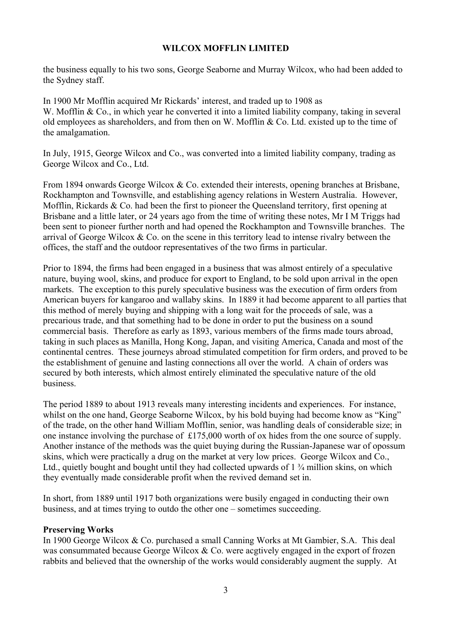the business equally to his two sons, George Seaborne and Murray Wilcox, who had been added to the Sydney staff.

In 1900 Mr Mofflin acquired Mr Rickards' interest, and traded up to 1908 as W. Mofflin & Co., in which year he converted it into a limited liability company, taking in several old employees as shareholders, and from then on W. Mofflin & Co. Ltd. existed up to the time of the amalgamation.

In July, 1915, George Wilcox and Co., was converted into a limited liability company, trading as George Wilcox and Co., Ltd.

From 1894 onwards George Wilcox & Co. extended their interests, opening branches at Brisbane, Rockhampton and Townsville, and establishing agency relations in Western Australia. However, Mofflin, Rickards & Co. had been the first to pioneer the Queensland territory, first opening at Brisbane and a little later, or 24 years ago from the time of writing these notes, Mr I M Triggs had been sent to pioneer further north and had opened the Rockhampton and Townsville branches. The arrival of George Wilcox & Co. on the scene in this territory lead to intense rivalry between the offices, the staff and the outdoor representatives of the two firms in particular.

Prior to 1894, the firms had been engaged in a business that was almost entirely of a speculative nature, buying wool, skins, and produce for export to England, to be sold upon arrival in the open markets. The exception to this purely speculative business was the execution of firm orders from American buyers for kangaroo and wallaby skins. In 1889 it had become apparent to all parties that this method of merely buying and shipping with a long wait for the proceeds of sale, was a precarious trade, and that something had to be done in order to put the business on a sound commercial basis. Therefore as early as 1893, various members of the firms made tours abroad, taking in such places as Manilla, Hong Kong, Japan, and visiting America, Canada and most of the continental centres. These journeys abroad stimulated competition for firm orders, and proved to be the establishment of genuine and lasting connections all over the world. A chain of orders was secured by both interests, which almost entirely eliminated the speculative nature of the old business.

The period 1889 to about 1913 reveals many interesting incidents and experiences. For instance, whilst on the one hand, George Seaborne Wilcox, by his bold buying had become know as "King" of the trade, on the other hand William Mofflin, senior, was handling deals of considerable size; in one instance involving the purchase of £175,000 worth of ox hides from the one source of supply. Another instance of the methods was the quiet buying during the Russian-Japanese war of opossum skins, which were practically a drug on the market at very low prices. George Wilcox and Co., Ltd., quietly bought and bought until they had collected upwards of 1  $\frac{3}{4}$  million skins, on which they eventually made considerable profit when the revived demand set in.

In short, from 1889 until 1917 both organizations were busily engaged in conducting their own business, and at times trying to outdo the other one – sometimes succeeding.

## **Preserving Works**

In 1900 George Wilcox & Co. purchased a small Canning Works at Mt Gambier, S.A. This deal was consummated because George Wilcox & Co. were acgtively engaged in the export of frozen rabbits and believed that the ownership of the works would considerably augment the supply. At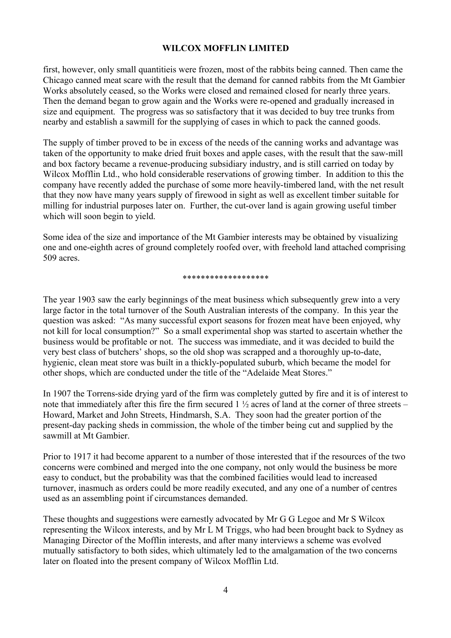first, however, only small quantitieis were frozen, most of the rabbits being canned. Then came the Chicago canned meat scare with the result that the demand for canned rabbits from the Mt Gambier Works absolutely ceased, so the Works were closed and remained closed for nearly three years. Then the demand began to grow again and the Works were re-opened and gradually increased in size and equipment. The progress was so satisfactory that it was decided to buy tree trunks from nearby and establish a sawmill for the supplying of cases in which to pack the canned goods.

The supply of timber proved to be in excess of the needs of the canning works and advantage was taken of the opportunity to make dried fruit boxes and apple cases, with the result that the saw-mill and box factory became a revenue-producing subsidiary industry, and is still carried on today by Wilcox Mofflin Ltd., who hold considerable reservations of growing timber. In addition to this the company have recently added the purchase of some more heavily-timbered land, with the net result that they now have many years supply of firewood in sight as well as excellent timber suitable for milling for industrial purposes later on. Further, the cut-over land is again growing useful timber which will soon begin to yield.

Some idea of the size and importance of the Mt Gambier interests may be obtained by visualizing one and one-eighth acres of ground completely roofed over, with freehold land attached comprising 509 acres.

#### \*\*\*\*\*\*\*\*\*\*\*\*\*\*\*\*\*\*\*

The year 1903 saw the early beginnings of the meat business which subsequently grew into a very large factor in the total turnover of the South Australian interests of the company. In this year the question was asked: "As many successful export seasons for frozen meat have been enjoyed, why not kill for local consumption?" So a small experimental shop was started to ascertain whether the business would be profitable or not. The success was immediate, and it was decided to build the very best class of butchers' shops, so the old shop was scrapped and a thoroughly up-to-date, hygienic, clean meat store was built in a thickly-populated suburb, which became the model for other shops, which are conducted under the title of the "Adelaide Meat Stores."

In 1907 the Torrens-side drying yard of the firm was completely gutted by fire and it is of interest to note that immediately after this fire the firm secured  $1\frac{1}{2}$  acres of land at the corner of three streets – Howard, Market and John Streets, Hindmarsh, S.A. They soon had the greater portion of the present-day packing sheds in commission, the whole of the timber being cut and supplied by the sawmill at Mt Gambier.

Prior to 1917 it had become apparent to a number of those interested that if the resources of the two concerns were combined and merged into the one company, not only would the business be more easy to conduct, but the probability was that the combined facilities would lead to increased turnover, inasmuch as orders could be more readily executed, and any one of a number of centres used as an assembling point if circumstances demanded.

These thoughts and suggestions were earnestly advocated by Mr G G Legoe and Mr S Wilcox representing the Wilcox interests, and by Mr L M Triggs, who had been brought back to Sydney as Managing Director of the Mofflin interests, and after many interviews a scheme was evolved mutually satisfactory to both sides, which ultimately led to the amalgamation of the two concerns later on floated into the present company of Wilcox Mofflin Ltd.